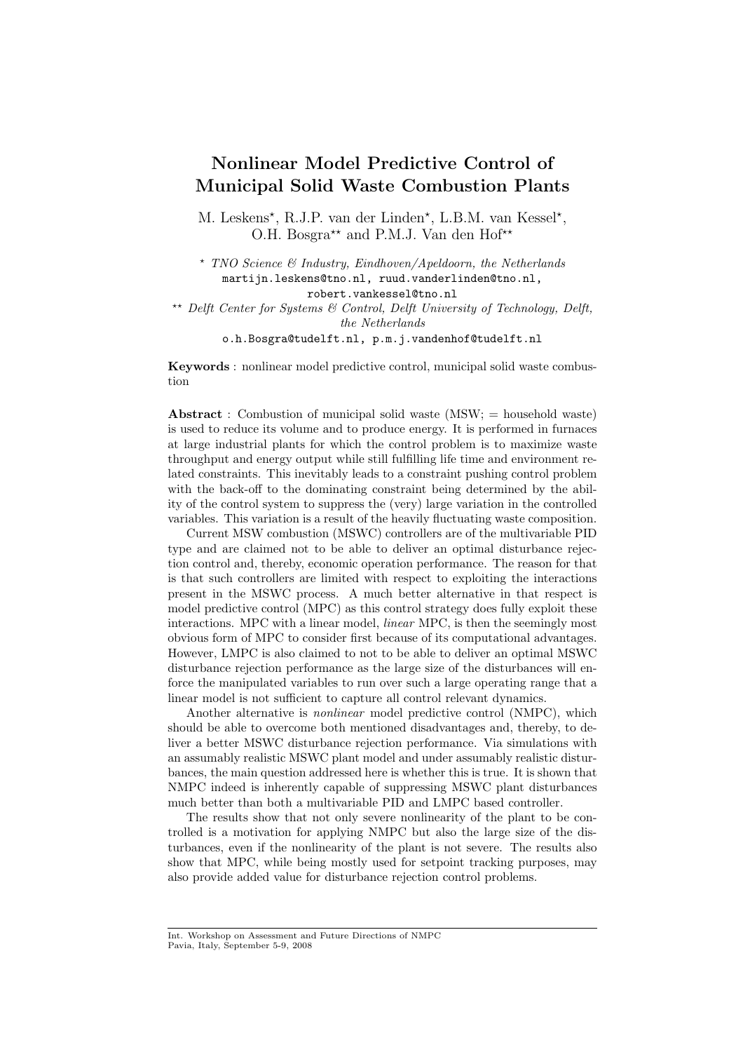# Nonlinear Model Predictive Control of Municipal Solid Waste Combustion Plants

M. Leskens<sup>\*</sup>, R.J.P. van der Linden<sup>\*</sup>, L.B.M. van Kessel<sup>\*</sup>, O.H. Bosgra<sup>\*\*</sup> and P.M.J. Van den Hof<sup>\*\*</sup>

<sup>⋆</sup> TNO Science & Industry, Eindhoven/Apeldoorn, the Netherlands martijn.leskens@tno.nl, ruud.vanderlinden@tno.nl, robert.vankessel@tno.nl

**\*\*** Delft Center for Systems  $\mathcal{B}$  Control, Delft University of Technology, Delft, the Netherlands

o.h.Bosgra@tudelft.nl, p.m.j.vandenhof@tudelft.nl

Keywords : nonlinear model predictive control, municipal solid waste combustion

Abstract : Combustion of municipal solid waste  $(MSW; =$  household waste) is used to reduce its volume and to produce energy. It is performed in furnaces at large industrial plants for which the control problem is to maximize waste throughput and energy output while still fulfilling life time and environment related constraints. This inevitably leads to a constraint pushing control problem with the back-off to the dominating constraint being determined by the ability of the control system to suppress the (very) large variation in the controlled variables. This variation is a result of the heavily fluctuating waste composition.

Current MSW combustion (MSWC) controllers are of the multivariable PID type and are claimed not to be able to deliver an optimal disturbance rejection control and, thereby, economic operation performance. The reason for that is that such controllers are limited with respect to exploiting the interactions present in the MSWC process. A much better alternative in that respect is model predictive control (MPC) as this control strategy does fully exploit these interactions. MPC with a linear model, linear MPC, is then the seemingly most obvious form of MPC to consider first because of its computational advantages. However, LMPC is also claimed to not to be able to deliver an optimal MSWC disturbance rejection performance as the large size of the disturbances will enforce the manipulated variables to run over such a large operating range that a linear model is not sufficient to capture all control relevant dynamics.

Another alternative is nonlinear model predictive control (NMPC), which should be able to overcome both mentioned disadvantages and, thereby, to deliver a better MSWC disturbance rejection performance. Via simulations with an assumably realistic MSWC plant model and under assumably realistic disturbances, the main question addressed here is whether this is true. It is shown that NMPC indeed is inherently capable of suppressing MSWC plant disturbances much better than both a multivariable PID and LMPC based controller.

The results show that not only severe nonlinearity of the plant to be controlled is a motivation for applying NMPC but also the large size of the disturbances, even if the nonlinearity of the plant is not severe. The results also show that MPC, while being mostly used for setpoint tracking purposes, may also provide added value for disturbance rejection control problems.

Int. Workshop on Assessment and Future Directions of NMPC Pavia, Italy, September 5-9, 2008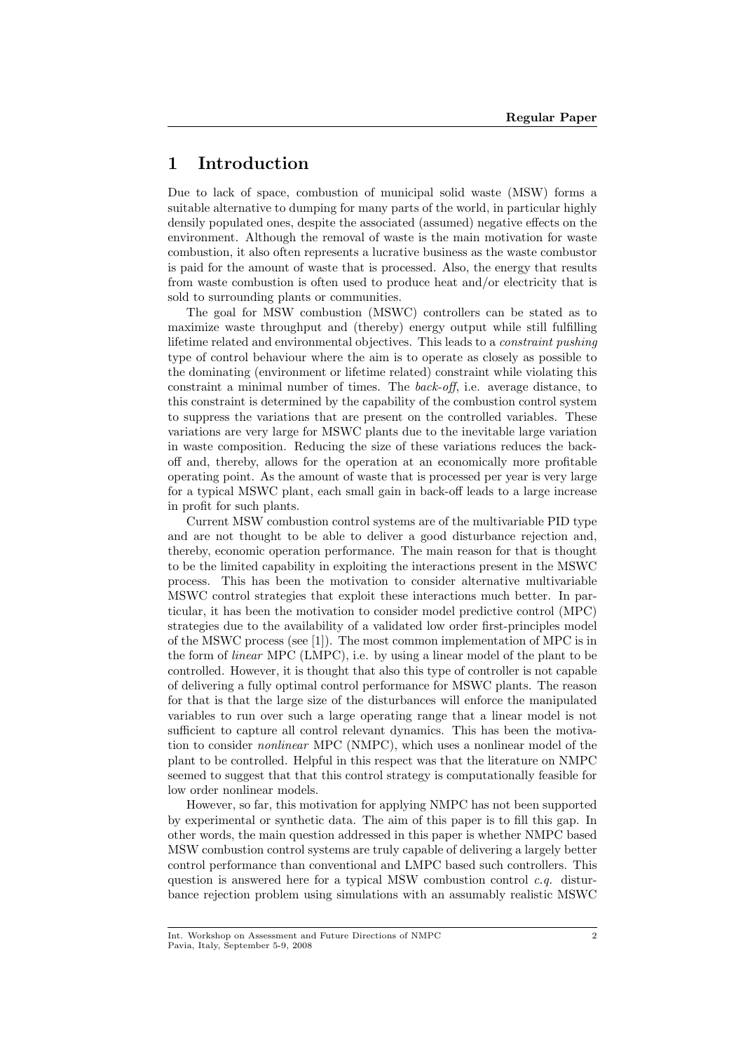## 1 Introduction

Due to lack of space, combustion of municipal solid waste (MSW) forms a suitable alternative to dumping for many parts of the world, in particular highly densily populated ones, despite the associated (assumed) negative effects on the environment. Although the removal of waste is the main motivation for waste combustion, it also often represents a lucrative business as the waste combustor is paid for the amount of waste that is processed. Also, the energy that results from waste combustion is often used to produce heat and/or electricity that is sold to surrounding plants or communities.

The goal for MSW combustion (MSWC) controllers can be stated as to maximize waste throughput and (thereby) energy output while still fulfilling lifetime related and environmental objectives. This leads to a constraint pushing type of control behaviour where the aim is to operate as closely as possible to the dominating (environment or lifetime related) constraint while violating this constraint a minimal number of times. The back-off, i.e. average distance, to this constraint is determined by the capability of the combustion control system to suppress the variations that are present on the controlled variables. These variations are very large for MSWC plants due to the inevitable large variation in waste composition. Reducing the size of these variations reduces the backoff and, thereby, allows for the operation at an economically more profitable operating point. As the amount of waste that is processed per year is very large for a typical MSWC plant, each small gain in back-off leads to a large increase in profit for such plants.

Current MSW combustion control systems are of the multivariable PID type and are not thought to be able to deliver a good disturbance rejection and, thereby, economic operation performance. The main reason for that is thought to be the limited capability in exploiting the interactions present in the MSWC process. This has been the motivation to consider alternative multivariable MSWC control strategies that exploit these interactions much better. In particular, it has been the motivation to consider model predictive control (MPC) strategies due to the availability of a validated low order first-principles model of the MSWC process (see [1]). The most common implementation of MPC is in the form of linear MPC (LMPC), i.e. by using a linear model of the plant to be controlled. However, it is thought that also this type of controller is not capable of delivering a fully optimal control performance for MSWC plants. The reason for that is that the large size of the disturbances will enforce the manipulated variables to run over such a large operating range that a linear model is not sufficient to capture all control relevant dynamics. This has been the motivation to consider nonlinear MPC (NMPC), which uses a nonlinear model of the plant to be controlled. Helpful in this respect was that the literature on NMPC seemed to suggest that that this control strategy is computationally feasible for low order nonlinear models.

However, so far, this motivation for applying NMPC has not been supported by experimental or synthetic data. The aim of this paper is to fill this gap. In other words, the main question addressed in this paper is whether NMPC based MSW combustion control systems are truly capable of delivering a largely better control performance than conventional and LMPC based such controllers. This question is answered here for a typical MSW combustion control  $c.q.$  disturbance rejection problem using simulations with an assumably realistic MSWC

Int. Workshop on Assessment and Future Directions of NMPC Pavia, Italy, September 5-9, 2008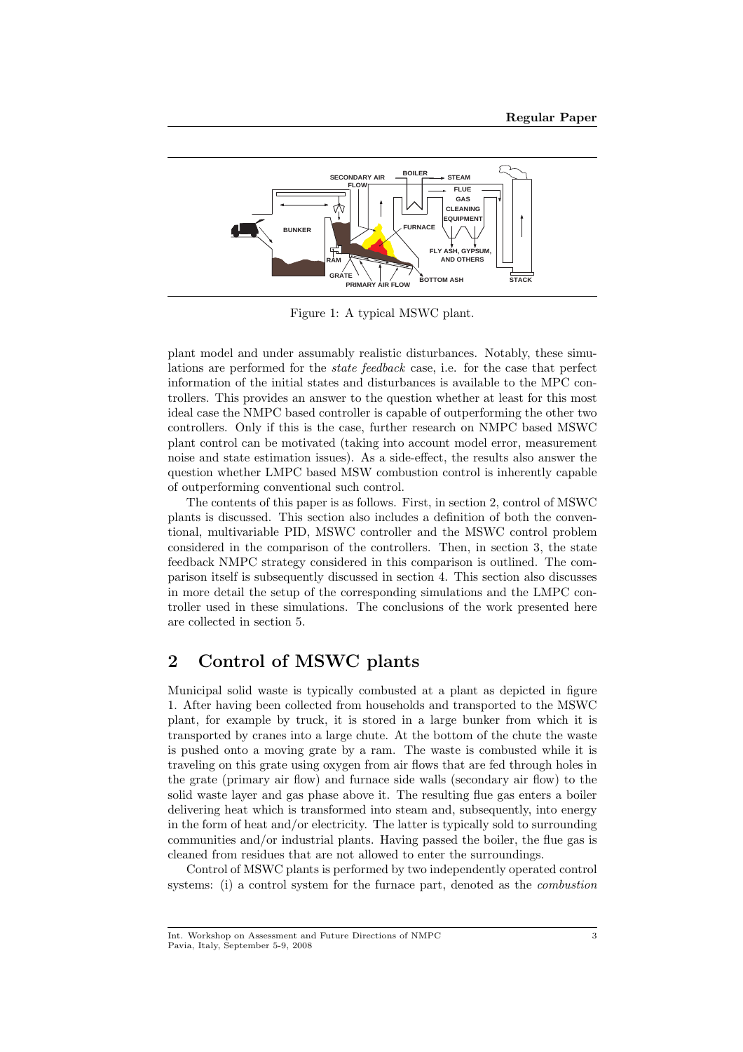

Figure 1: A typical MSWC plant.

plant model and under assumably realistic disturbances. Notably, these simulations are performed for the state feedback case, i.e. for the case that perfect information of the initial states and disturbances is available to the MPC controllers. This provides an answer to the question whether at least for this most ideal case the NMPC based controller is capable of outperforming the other two controllers. Only if this is the case, further research on NMPC based MSWC plant control can be motivated (taking into account model error, measurement noise and state estimation issues). As a side-effect, the results also answer the question whether LMPC based MSW combustion control is inherently capable of outperforming conventional such control.

The contents of this paper is as follows. First, in section 2, control of MSWC plants is discussed. This section also includes a definition of both the conventional, multivariable PID, MSWC controller and the MSWC control problem considered in the comparison of the controllers. Then, in section 3, the state feedback NMPC strategy considered in this comparison is outlined. The comparison itself is subsequently discussed in section 4. This section also discusses in more detail the setup of the corresponding simulations and the LMPC controller used in these simulations. The conclusions of the work presented here are collected in section 5.

## 2 Control of MSWC plants

Municipal solid waste is typically combusted at a plant as depicted in figure 1. After having been collected from households and transported to the MSWC plant, for example by truck, it is stored in a large bunker from which it is transported by cranes into a large chute. At the bottom of the chute the waste is pushed onto a moving grate by a ram. The waste is combusted while it is traveling on this grate using oxygen from air flows that are fed through holes in the grate (primary air flow) and furnace side walls (secondary air flow) to the solid waste layer and gas phase above it. The resulting flue gas enters a boiler delivering heat which is transformed into steam and, subsequently, into energy in the form of heat and/or electricity. The latter is typically sold to surrounding communities and/or industrial plants. Having passed the boiler, the flue gas is cleaned from residues that are not allowed to enter the surroundings.

Control of MSWC plants is performed by two independently operated control systems: (i) a control system for the furnace part, denoted as the combustion

Int. Workshop on Assessment and Future Directions of NMPC Pavia, Italy, September 5-9, 2008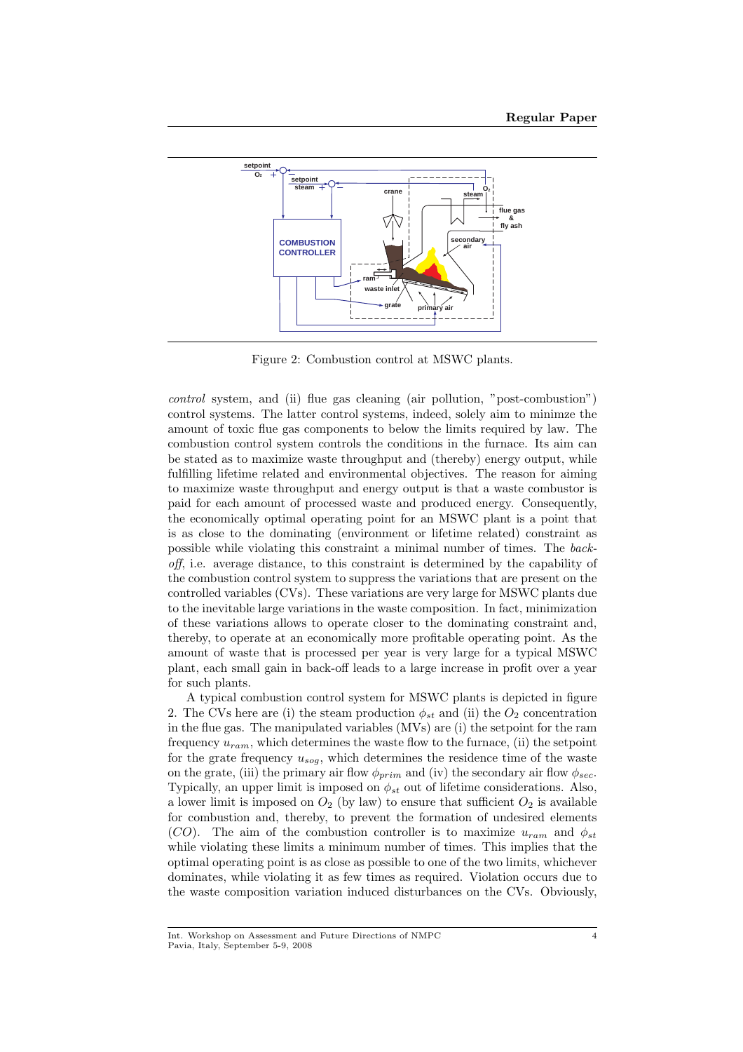

Figure 2: Combustion control at MSWC plants.

control system, and (ii) flue gas cleaning (air pollution, "post-combustion") control systems. The latter control systems, indeed, solely aim to minimze the amount of toxic flue gas components to below the limits required by law. The combustion control system controls the conditions in the furnace. Its aim can be stated as to maximize waste throughput and (thereby) energy output, while fulfilling lifetime related and environmental objectives. The reason for aiming to maximize waste throughput and energy output is that a waste combustor is paid for each amount of processed waste and produced energy. Consequently, the economically optimal operating point for an MSWC plant is a point that is as close to the dominating (environment or lifetime related) constraint as possible while violating this constraint a minimal number of times. The backoff, i.e. average distance, to this constraint is determined by the capability of the combustion control system to suppress the variations that are present on the controlled variables (CVs). These variations are very large for MSWC plants due to the inevitable large variations in the waste composition. In fact, minimization of these variations allows to operate closer to the dominating constraint and, thereby, to operate at an economically more profitable operating point. As the amount of waste that is processed per year is very large for a typical MSWC plant, each small gain in back-off leads to a large increase in profit over a year for such plants.

A typical combustion control system for MSWC plants is depicted in figure 2. The CVs here are (i) the steam production  $\phi_{st}$  and (ii) the  $O_2$  concentration in the flue gas. The manipulated variables (MVs) are (i) the setpoint for the ram frequency  $u_{ram}$ , which determines the waste flow to the furnace, (ii) the setpoint for the grate frequency  $u_{sog}$ , which determines the residence time of the waste on the grate, (iii) the primary air flow  $\phi_{prim}$  and (iv) the secondary air flow  $\phi_{sec}$ . Typically, an upper limit is imposed on  $\phi_{st}$  out of lifetime considerations. Also, a lower limit is imposed on  $O_2$  (by law) to ensure that sufficient  $O_2$  is available for combustion and, thereby, to prevent the formation of undesired elements (CO). The aim of the combustion controller is to maximize  $u_{ram}$  and  $\phi_{st}$ while violating these limits a minimum number of times. This implies that the optimal operating point is as close as possible to one of the two limits, whichever dominates, while violating it as few times as required. Violation occurs due to the waste composition variation induced disturbances on the CVs. Obviously,

Int. Workshop on Assessment and Future Directions of NMPC Pavia, Italy, September 5-9, 2008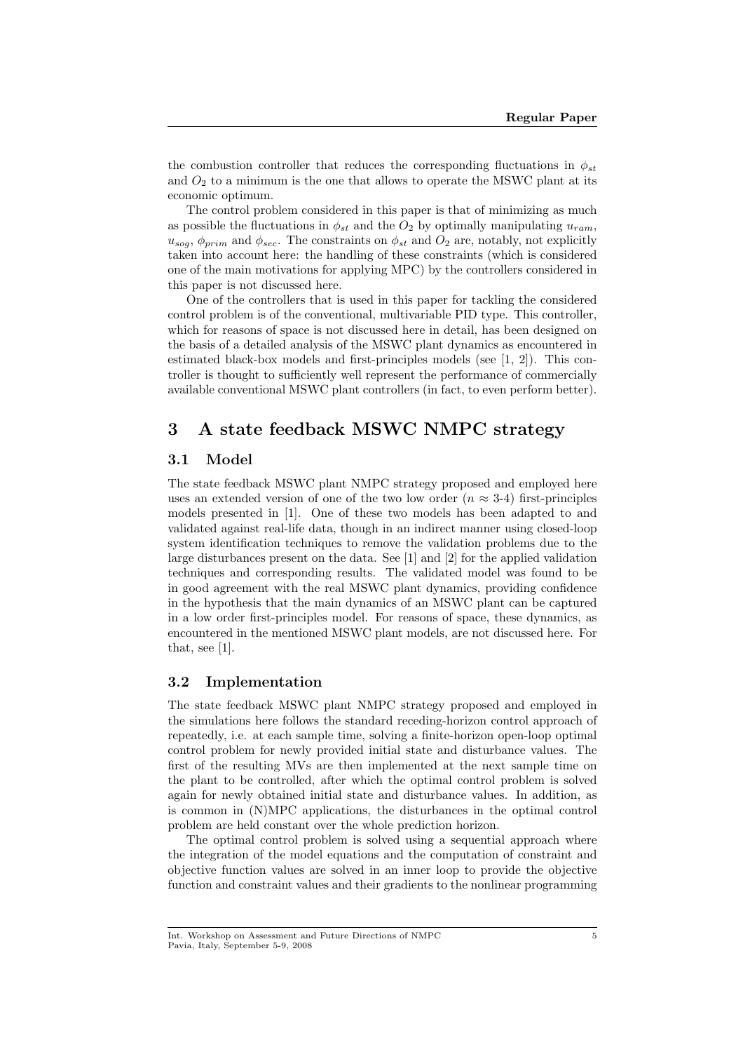the combustion controller that reduces the corresponding fluctuations in  $\phi_{st}$ and  $O_2$  to a minimum is the one that allows to operate the MSWC plant at its economic optimum.

The control problem considered in this paper is that of minimizing as much as possible the fluctuations in  $\phi_{st}$  and the  $O_2$  by optimally manipulating  $u_{ram}$ ,  $u_{sog}, \phi_{prim}$  and  $\phi_{sec}$ . The constraints on  $\phi_{st}$  and  $O_2$  are, notably, not explicitly taken into account here: the handling of these constraints (which is considered one of the main motivations for applying MPC) by the controllers considered in this paper is not discussed here.

One of the controllers that is used in this paper for tackling the considered control problem is of the conventional, multivariable PID type. This controller, which for reasons of space is not discussed here in detail, has been designed on the basis of a detailed analysis of the MSWC plant dynamics as encountered in estimated black-box models and first-principles models (see [1, 2]). This controller is thought to sufficiently well represent the performance of commercially available conventional MSWC plant controllers (in fact, to even perform better).

## 3 A state feedback MSWC NMPC strategy

#### 3.1 Model

The state feedback MSWC plant NMPC strategy proposed and employed here uses an extended version of one of the two low order ( $n \approx 3-4$ ) first-principles models presented in [1]. One of these two models has been adapted to and validated against real-life data, though in an indirect manner using closed-loop system identification techniques to remove the validation problems due to the large disturbances present on the data. See [1] and [2] for the applied validation techniques and corresponding results. The validated model was found to be in good agreement with the real MSWC plant dynamics, providing confidence in the hypothesis that the main dynamics of an MSWC plant can be captured in a low order first-principles model. For reasons of space, these dynamics, as encountered in the mentioned MSWC plant models, are not discussed here. For that, see [1].

#### 3.2 Implementation

The state feedback MSWC plant NMPC strategy proposed and employed in the simulations here follows the standard receding-horizon control approach of repeatedly, i.e. at each sample time, solving a finite-horizon open-loop optimal control problem for newly provided initial state and disturbance values. The first of the resulting MVs are then implemented at the next sample time on the plant to be controlled, after which the optimal control problem is solved again for newly obtained initial state and disturbance values. In addition, as is common in (N)MPC applications, the disturbances in the optimal control problem are held constant over the whole prediction horizon.

The optimal control problem is solved using a sequential approach where the integration of the model equations and the computation of constraint and objective function values are solved in an inner loop to provide the objective function and constraint values and their gradients to the nonlinear programming

Int. Workshop on Assessment and Future Directions of NMPC Pavia, Italy, September 5-9, 2008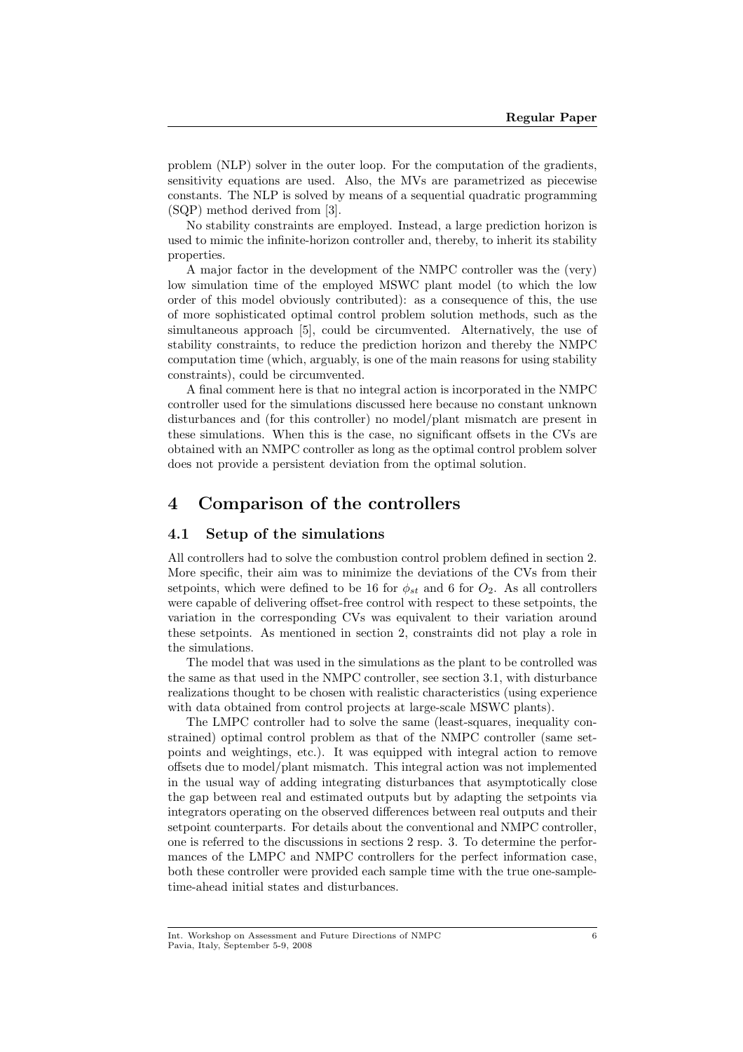problem (NLP) solver in the outer loop. For the computation of the gradients, sensitivity equations are used. Also, the MVs are parametrized as piecewise constants. The NLP is solved by means of a sequential quadratic programming (SQP) method derived from [3].

No stability constraints are employed. Instead, a large prediction horizon is used to mimic the infinite-horizon controller and, thereby, to inherit its stability properties.

A major factor in the development of the NMPC controller was the (very) low simulation time of the employed MSWC plant model (to which the low order of this model obviously contributed): as a consequence of this, the use of more sophisticated optimal control problem solution methods, such as the simultaneous approach [5], could be circumvented. Alternatively, the use of stability constraints, to reduce the prediction horizon and thereby the NMPC computation time (which, arguably, is one of the main reasons for using stability constraints), could be circumvented.

A final comment here is that no integral action is incorporated in the NMPC controller used for the simulations discussed here because no constant unknown disturbances and (for this controller) no model/plant mismatch are present in these simulations. When this is the case, no significant offsets in the CVs are obtained with an NMPC controller as long as the optimal control problem solver does not provide a persistent deviation from the optimal solution.

### 4 Comparison of the controllers

#### 4.1 Setup of the simulations

All controllers had to solve the combustion control problem defined in section 2. More specific, their aim was to minimize the deviations of the CVs from their setpoints, which were defined to be 16 for  $\phi_{st}$  and 6 for  $O_2$ . As all controllers were capable of delivering offset-free control with respect to these setpoints, the variation in the corresponding CVs was equivalent to their variation around these setpoints. As mentioned in section 2, constraints did not play a role in the simulations.

The model that was used in the simulations as the plant to be controlled was the same as that used in the NMPC controller, see section 3.1, with disturbance realizations thought to be chosen with realistic characteristics (using experience with data obtained from control projects at large-scale MSWC plants).

The LMPC controller had to solve the same (least-squares, inequality constrained) optimal control problem as that of the NMPC controller (same setpoints and weightings, etc.). It was equipped with integral action to remove offsets due to model/plant mismatch. This integral action was not implemented in the usual way of adding integrating disturbances that asymptotically close the gap between real and estimated outputs but by adapting the setpoints via integrators operating on the observed differences between real outputs and their setpoint counterparts. For details about the conventional and NMPC controller, one is referred to the discussions in sections 2 resp. 3. To determine the performances of the LMPC and NMPC controllers for the perfect information case, both these controller were provided each sample time with the true one-sampletime-ahead initial states and disturbances.

Int. Workshop on Assessment and Future Directions of NMPC Pavia, Italy, September 5-9, 2008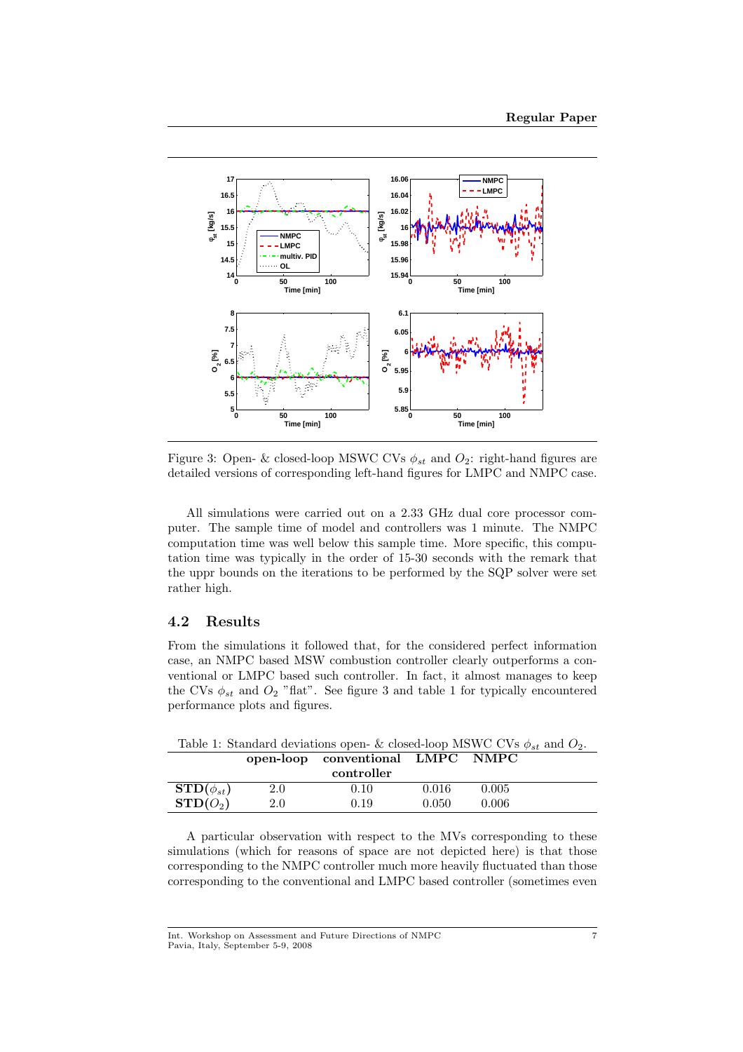

Figure 3: Open- & closed-loop MSWC CVs  $\phi_{st}$  and  $O_2$ : right-hand figures are detailed versions of corresponding left-hand figures for LMPC and NMPC case.

All simulations were carried out on a 2.33 GHz dual core processor computer. The sample time of model and controllers was 1 minute. The NMPC computation time was well below this sample time. More specific, this computation time was typically in the order of 15-30 seconds with the remark that the uppr bounds on the iterations to be performed by the SQP solver were set rather high.

#### 4.2 Results

From the simulations it followed that, for the considered perfect information case, an NMPC based MSW combustion controller clearly outperforms a conventional or LMPC based such controller. In fact, it almost manages to keep the CVs  $\phi_{st}$  and  $O_2$  "flat". See figure 3 and table 1 for typically encountered performance plots and figures.

Table 1: Standard deviations open- & closed-loop MSWC CVs  $\phi_{st}$  and  $O_2$ . open-loop conventional LMPC NMPC

| controller              |     |          |           |       |  |
|-------------------------|-----|----------|-----------|-------|--|
| $\text{STD}(\phi_{st})$ | 2.0 | $0.10\,$ | $0.016\,$ | 0.005 |  |
| $\text{STD}(O_2)$       | 2.0 | J.19     | ).050     | 0.006 |  |

A particular observation with respect to the MVs corresponding to these simulations (which for reasons of space are not depicted here) is that those corresponding to the NMPC controller much more heavily fluctuated than those corresponding to the conventional and LMPC based controller (sometimes even

Int. Workshop on Assessment and Future Directions of NMPC Pavia, Italy, September 5-9, 2008